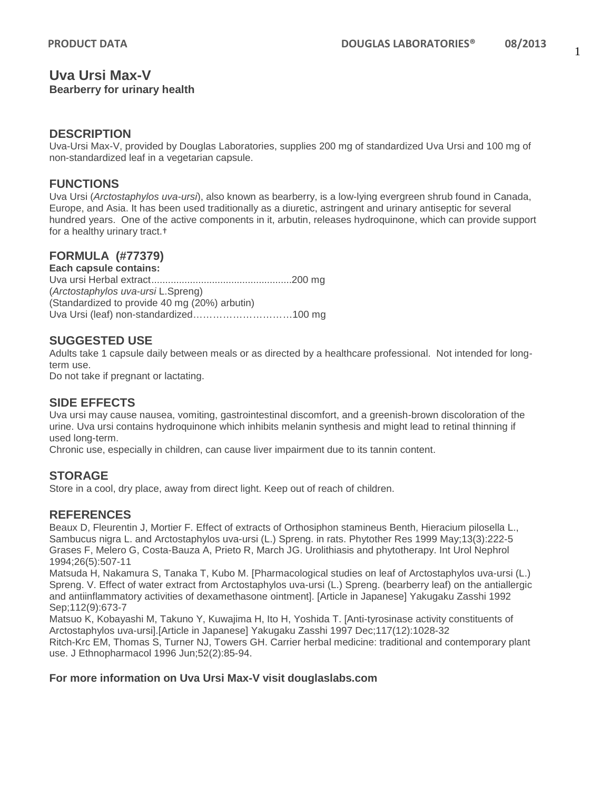#### **Uva Ursi Max-V Bearberry for urinary health**

### **DESCRIPTION**

Uva-Ursi Max-V, provided by Douglas Laboratories, supplies 200 mg of standardized Uva Ursi and 100 mg of non-standardized leaf in a vegetarian capsule.

#### **FUNCTIONS**

Uva Ursi (*Arctostaphylos uva-ursi*), also known as bearberry, is a low-lying evergreen shrub found in Canada, Europe, and Asia. It has been used traditionally as a diuretic, astringent and urinary antiseptic for several hundred years. One of the active components in it, arbutin, releases hydroquinone, which can provide support for a healthy urinary tract.†

## **FORMULA (#77379)**

**Each capsule contains:** Uva ursi Herbal extract...................................................200 mg (*Arctostaphylos uva-ursi* L.Spreng) (Standardized to provide 40 mg (20%) arbutin) Uva Ursi (leaf) non-standardized…………………………100 mg

### **SUGGESTED USE**

Adults take 1 capsule daily between meals or as directed by a healthcare professional. Not intended for longterm use.

Do not take if pregnant or lactating.

## **SIDE EFFECTS**

Uva ursi may cause nausea, vomiting, gastrointestinal discomfort, and a greenish-brown discoloration of the urine. Uva ursi contains hydroquinone which inhibits melanin synthesis and might lead to retinal thinning if used long-term.

Chronic use, especially in children, can cause liver impairment due to its tannin content.

#### **STORAGE**

Store in a cool, dry place, away from direct light. Keep out of reach of children.

## **REFERENCES**

Beaux D, Fleurentin J, Mortier F. Effect of extracts of Orthosiphon stamineus Benth, Hieracium pilosella L., Sambucus nigra L. and Arctostaphylos uva-ursi (L.) Spreng. in rats. Phytother Res 1999 May;13(3):222-5 Grases F, Melero G, Costa-Bauza A, Prieto R, March JG. Urolithiasis and phytotherapy. Int Urol Nephrol 1994;26(5):507-11

Matsuda H, Nakamura S, Tanaka T, Kubo M. [Pharmacological studies on leaf of Arctostaphylos uva-ursi (L.) Spreng. V. Effect of water extract from Arctostaphylos uva-ursi (L.) Spreng. (bearberry leaf) on the antiallergic and antiinflammatory activities of dexamethasone ointment]. [Article in Japanese] Yakugaku Zasshi 1992 Sep;112(9):673-7

Matsuo K, Kobayashi M, Takuno Y, Kuwajima H, Ito H, Yoshida T. [Anti-tyrosinase activity constituents of Arctostaphylos uva-ursi].[Article in Japanese] Yakugaku Zasshi 1997 Dec;117(12):1028-32

Ritch-Krc EM, Thomas S, Turner NJ, Towers GH. Carrier herbal medicine: traditional and contemporary plant use. J Ethnopharmacol 1996 Jun;52(2):85-94.

#### **For more information on Uva Ursi Max-V visit douglaslabs.com**